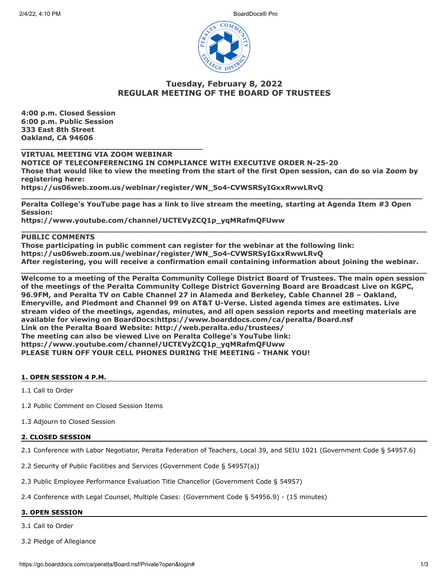2/4/22, 4:10 PM BoardDocs® Pro



# **Tuesday, February 8, 2022 REGULAR MEETING OF THE BOARD OF TRUSTEES**

**4:00 p.m. Closed Session 6:00 p.m. Public Session 333 East 8th Street Oakland, CA 94606**

**VIRTUAL MEETING VIA ZOOM WEBINAR**

**\_\_\_\_\_\_\_\_\_\_\_\_\_\_\_\_\_\_\_\_\_\_\_\_\_\_\_\_\_\_\_\_\_\_\_\_\_\_**

**NOTICE OF TELECONFERENCING IN COMPLIANCE WITH EXECUTIVE ORDER N-25-20 Those that would like to view the meeting from the start of the first Open session, can do so via Zoom by registering here: https://us06web.zoom.us/webinar/register/WN\_5o4-CVWSRSyIGxxRwwLRvQ**

**\_\_\_\_\_\_\_\_\_\_\_\_\_\_\_\_\_\_\_\_\_\_\_\_\_\_\_\_\_\_\_\_\_\_\_\_\_\_\_\_\_\_\_\_\_\_\_\_\_\_\_\_\_\_\_\_\_\_\_\_\_\_\_\_\_\_\_\_\_\_\_\_\_\_\_\_\_\_\_\_\_\_\_\_ Peralta College's YouTube page has a link to live stream the meeting, starting at Agenda Item #3 Open Session:**

**https://www.youtube.com/channel/UCTEVyZCQ1p\_yqMRafmQFUww**

# **PUBLIC COMMENTS**

**Those participating in public comment can register for the webinar at the following link: https://us06web.zoom.us/webinar/register/WN\_5o4-CVWSRSyIGxxRwwLRvQ After registering, you will receive a confirmation email containing information about joining the webinar.**

**\_\_\_\_\_\_\_\_\_\_\_\_\_\_\_\_\_\_\_\_\_\_\_\_\_\_\_\_\_\_\_\_\_\_\_\_\_\_\_\_\_\_\_\_\_\_\_\_\_\_\_\_\_\_\_\_\_\_\_\_\_\_\_\_\_\_\_\_\_\_\_\_\_\_\_\_\_\_\_\_\_\_\_\_\_**

**\_\_\_\_\_\_\_\_\_\_\_\_\_\_\_\_\_\_\_\_\_\_\_\_\_\_\_\_\_\_\_\_\_\_\_\_\_\_\_\_\_\_\_\_\_\_\_\_\_\_\_\_\_\_\_\_\_\_\_\_\_\_\_\_\_\_\_\_\_\_\_\_\_\_\_\_\_\_\_\_\_\_\_\_\_ Welcome to a meeting of the Peralta Community College District Board of Trustees. The main open session of the meetings of the Peralta Community College District Governing Board are Broadcast Live on KGPC, 96.9FM, and Peralta TV on Cable Channel 27 in Alameda and Berkeley, Cable Channel 28 – Oakland, Emeryville, and Piedmont and Channel 99 on AT&T U-Verse. Listed agenda times are estimates. Live stream video of the meetings, agendas, minutes, and all open session reports and meeting materials are available for viewing on BoardDocs:https://www.boarddocs.com/ca/peralta/Board.nsf Link on the Peralta Board Website: http://web.peralta.edu/trustees/ The meeting can also be viewed Live on Peralta College's YouTube link: https://www.youtube.com/channel/UCTEVyZCQ1p\_yqMRafmQFUww PLEASE TURN OFF YOUR CELL PHONES DURING THE MEETING - THANK YOU!**

# **1. OPEN SESSION 4 P.M.**

1.1 Call to Order

- 1.2 Public Comment on Closed Session Items
- 1.3 Adjourn to Closed Session

# **2. CLOSED SESSION**

2.1 Conference with Labor Negotiator, Peralta Federation of Teachers, Local 39, and SEIU 1021 (Government Code § 54957.6)

2.2 Security of Public Facilities and Services (Government Code § 54957(a))

2.3 Public Employee Performance Evaluation Title Chancellor (Government Code § 54957)

2.4 Conference with Legal Counsel, Multiple Cases: (Government Code § 54956.9) - (15 minutes)

# **3. OPEN SESSION**

3.1 Call to Order

3.2 Pledge of Allegiance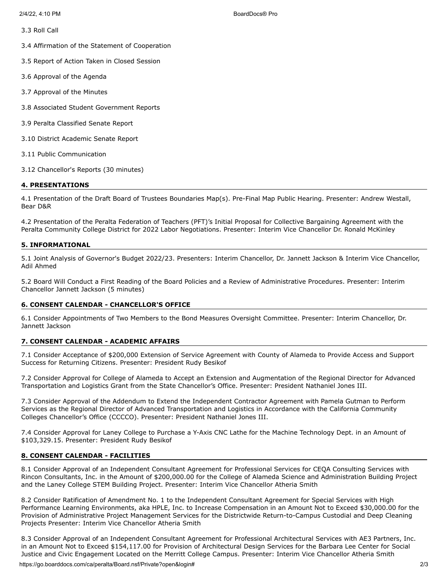3.3 Roll Call

3.4 Affirmation of the Statement of Cooperation

3.5 Report of Action Taken in Closed Session

3.6 Approval of the Agenda

- 3.7 Approval of the Minutes
- 3.8 Associated Student Government Reports
- 3.9 Peralta Classified Senate Report
- 3.10 District Academic Senate Report
- 3.11 Public Communication
- 3.12 Chancellor's Reports (30 minutes)

### **4. PRESENTATIONS**

4.1 Presentation of the Draft Board of Trustees Boundaries Map(s). Pre-Final Map Public Hearing. Presenter: Andrew Westall, Bear D&R

4.2 Presentation of the Peralta Federation of Teachers (PFT)'s Initial Proposal for Collective Bargaining Agreement with the Peralta Community College District for 2022 Labor Negotiations. Presenter: Interim Vice Chancellor Dr. Ronald McKinley

### **5. INFORMATIONAL**

5.1 Joint Analysis of Governor's Budget 2022/23. Presenters: Interim Chancellor, Dr. Jannett Jackson & Interim Vice Chancellor, Adil Ahmed

5.2 Board Will Conduct a First Reading of the Board Policies and a Review of Administrative Procedures. Presenter: Interim Chancellor Jannett Jackson (5 minutes)

### **6. CONSENT CALENDAR - CHANCELLOR'S OFFICE**

6.1 Consider Appointments of Two Members to the Bond Measures Oversight Committee. Presenter: Interim Chancellor, Dr. Jannett Jackson

### **7. CONSENT CALENDAR - ACADEMIC AFFAIRS**

7.1 Consider Acceptance of \$200,000 Extension of Service Agreement with County of Alameda to Provide Access and Support Success for Returning Citizens. Presenter: President Rudy Besikof

7.2 Consider Approval for College of Alameda to Accept an Extension and Augmentation of the Regional Director for Advanced Transportation and Logistics Grant from the State Chancellor's Office. Presenter: President Nathaniel Jones III.

7.3 Consider Approval of the Addendum to Extend the Independent Contractor Agreement with Pamela Gutman to Perform Services as the Regional Director of Advanced Transportation and Logistics in Accordance with the California Community Colleges Chancellor's Office (CCCCO). Presenter: President Nathaniel Jones III.

7.4 Consider Approval for Laney College to Purchase a Y-Axis CNC Lathe for the Machine Technology Dept. in an Amount of \$103,329.15. Presenter: President Rudy Besikof

### **8. CONSENT CALENDAR - FACILITIES**

8.1 Consider Approval of an Independent Consultant Agreement for Professional Services for CEQA Consulting Services with Rincon Consultants, Inc. in the Amount of \$200,000.00 for the College of Alameda Science and Administration Building Project and the Laney College STEM Building Project. Presenter: Interim Vice Chancellor Atheria Smith

8.2 Consider Ratification of Amendment No. 1 to the Independent Consultant Agreement for Special Services with High Performance Learning Environments, aka HPLE, Inc. to Increase Compensation in an Amount Not to Exceed \$30,000.00 for the Provision of Administrative Project Management Services for the Districtwide Return-to-Campus Custodial and Deep Cleaning Projects Presenter: Interim Vice Chancellor Atheria Smith

8.3 Consider Approval of an Independent Consultant Agreement for Professional Architectural Services with AE3 Partners, Inc. in an Amount Not to Exceed \$154,117.00 for Provision of Architectural Design Services for the Barbara Lee Center for Social Justice and Civic Engagement Located on the Merritt College Campus. Presenter: Interim Vice Chancellor Atheria Smith

https://go.boarddocs.com/ca/peralta/Board.nsf/Private?open&login# 2/3